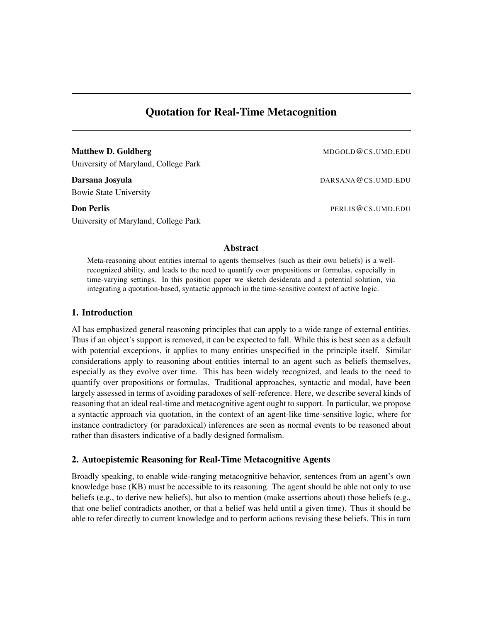# Quotation for Real-Time Metacognition

Matthew D. Goldberg MDGOLD@CS.UMD.EDU University of Maryland, College Park

Bowie State University

University of Maryland, College Park

Darsana Josyula DARSANA@CS.UMD.EDU

**Don Perlis** PERLIS @CS.UMD.EDU

## Abstract

Meta-reasoning about entities internal to agents themselves (such as their own beliefs) is a wellrecognized ability, and leads to the need to quantify over propositions or formulas, especially in time-varying settings. In this position paper we sketch desiderata and a potential solution, via integrating a quotation-based, syntactic approach in the time-sensitive context of active logic.

## 1. Introduction

AI has emphasized general reasoning principles that can apply to a wide range of external entities. Thus if an object's support is removed, it can be expected to fall. While this is best seen as a default with potential exceptions, it applies to many entities unspecified in the principle itself. Similar considerations apply to reasoning about entities internal to an agent such as beliefs themselves, especially as they evolve over time. This has been widely recognized, and leads to the need to quantify over propositions or formulas. Traditional approaches, syntactic and modal, have been largely assessed in terms of avoiding paradoxes of self-reference. Here, we describe several kinds of reasoning that an ideal real-time and metacognitive agent ought to support. In particular, we propose a syntactic approach via quotation, in the context of an agent-like time-sensitive logic, where for instance contradictory (or paradoxical) inferences are seen as normal events to be reasoned about rather than disasters indicative of a badly designed formalism.

## 2. Autoepistemic Reasoning for Real-Time Metacognitive Agents

Broadly speaking, to enable wide-ranging metacognitive behavior, sentences from an agent's own knowledge base (KB) must be accessible to its reasoning. The agent should be able not only to use beliefs (e.g., to derive new beliefs), but also to mention (make assertions about) those beliefs (e.g., that one belief contradicts another, or that a belief was held until a given time). Thus it should be able to refer directly to current knowledge and to perform actions revising these beliefs. This in turn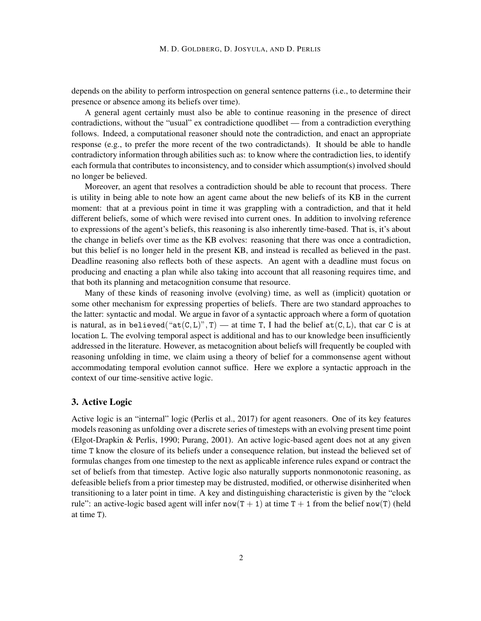depends on the ability to perform introspection on general sentence patterns (i.e., to determine their presence or absence among its beliefs over time).

A general agent certainly must also be able to continue reasoning in the presence of direct contradictions, without the "usual" ex contradictione quodlibet — from a contradiction everything follows. Indeed, a computational reasoner should note the contradiction, and enact an appropriate response (e.g., to prefer the more recent of the two contradictands). It should be able to handle contradictory information through abilities such as: to know where the contradiction lies, to identify each formula that contributes to inconsistency, and to consider which assumption(s) involved should no longer be believed.

Moreover, an agent that resolves a contradiction should be able to recount that process. There is utility in being able to note how an agent came about the new beliefs of its KB in the current moment: that at a previous point in time it was grappling with a contradiction, and that it held different beliefs, some of which were revised into current ones. In addition to involving reference to expressions of the agent's beliefs, this reasoning is also inherently time-based. That is, it's about the change in beliefs over time as the KB evolves: reasoning that there was once a contradiction, but this belief is no longer held in the present KB, and instead is recalled as believed in the past. Deadline reasoning also reflects both of these aspects. An agent with a deadline must focus on producing and enacting a plan while also taking into account that all reasoning requires time, and that both its planning and metacognition consume that resource.

Many of these kinds of reasoning involve (evolving) time, as well as (implicit) quotation or some other mechanism for expressing properties of beliefs. There are two standard approaches to the latter: syntactic and modal. We argue in favor of a syntactic approach where a form of quotation is natural, as in believed(" $at(C, L)$ ", T) — at time T, I had the belief  $at(C, L)$ , that car C is at location L. The evolving temporal aspect is additional and has to our knowledge been insufficiently addressed in the literature. However, as metacognition about beliefs will frequently be coupled with reasoning unfolding in time, we claim using a theory of belief for a commonsense agent without accommodating temporal evolution cannot suffice. Here we explore a syntactic approach in the context of our time-sensitive active logic.

## 3. Active Logic

Active logic is an "internal" logic (Perlis et al., 2017) for agent reasoners. One of its key features models reasoning as unfolding over a discrete series of timesteps with an evolving present time point (Elgot-Drapkin & Perlis, 1990; Purang, 2001). An active logic-based agent does not at any given time T know the closure of its beliefs under a consequence relation, but instead the believed set of formulas changes from one timestep to the next as applicable inference rules expand or contract the set of beliefs from that timestep. Active logic also naturally supports nonmonotonic reasoning, as defeasible beliefs from a prior timestep may be distrusted, modified, or otherwise disinherited when transitioning to a later point in time. A key and distinguishing characteristic is given by the "clock rule": an active-logic based agent will infer now(T + 1) at time  $T + 1$  from the belief now(T) (held at time T).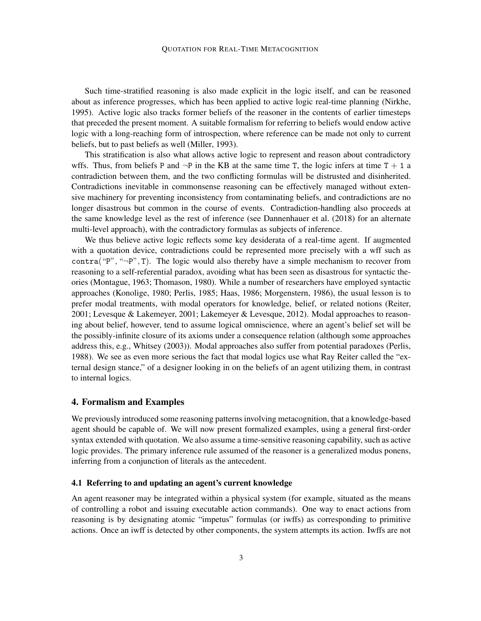Such time-stratified reasoning is also made explicit in the logic itself, and can be reasoned about as inference progresses, which has been applied to active logic real-time planning (Nirkhe, 1995). Active logic also tracks former beliefs of the reasoner in the contents of earlier timesteps that preceded the present moment. A suitable formalism for referring to beliefs would endow active logic with a long-reaching form of introspection, where reference can be made not only to current beliefs, but to past beliefs as well (Miller, 1993).

This stratification is also what allows active logic to represent and reason about contradictory wffs. Thus, from beliefs P and  $\neg P$  in the KB at the same time T, the logic infers at time T + 1 a contradiction between them, and the two conflicting formulas will be distrusted and disinherited. Contradictions inevitable in commonsense reasoning can be effectively managed without extensive machinery for preventing inconsistency from contaminating beliefs, and contradictions are no longer disastrous but common in the course of events. Contradiction-handling also proceeds at the same knowledge level as the rest of inference (see Dannenhauer et al. (2018) for an alternate multi-level approach), with the contradictory formulas as subjects of inference.

We thus believe active logic reflects some key desiderata of a real-time agent. If augmented with a quotation device, contradictions could be represented more precisely with a wff such as contra("P", " $\neg$ P", T). The logic would also thereby have a simple mechanism to recover from reasoning to a self-referential paradox, avoiding what has been seen as disastrous for syntactic theories (Montague, 1963; Thomason, 1980). While a number of researchers have employed syntactic approaches (Konolige, 1980; Perlis, 1985; Haas, 1986; Morgenstern, 1986), the usual lesson is to prefer modal treatments, with modal operators for knowledge, belief, or related notions (Reiter, 2001; Levesque & Lakemeyer, 2001; Lakemeyer & Levesque, 2012). Modal approaches to reasoning about belief, however, tend to assume logical omniscience, where an agent's belief set will be the possibly-infinite closure of its axioms under a consequence relation (although some approaches address this, e.g., Whitsey (2003)). Modal approaches also suffer from potential paradoxes (Perlis, 1988). We see as even more serious the fact that modal logics use what Ray Reiter called the "external design stance," of a designer looking in on the beliefs of an agent utilizing them, in contrast to internal logics.

#### 4. Formalism and Examples

We previously introduced some reasoning patterns involving metacognition, that a knowledge-based agent should be capable of. We will now present formalized examples, using a general first-order syntax extended with quotation. We also assume a time-sensitive reasoning capability, such as active logic provides. The primary inference rule assumed of the reasoner is a generalized modus ponens, inferring from a conjunction of literals as the antecedent.

#### 4.1 Referring to and updating an agent's current knowledge

An agent reasoner may be integrated within a physical system (for example, situated as the means of controlling a robot and issuing executable action commands). One way to enact actions from reasoning is by designating atomic "impetus" formulas (or iwffs) as corresponding to primitive actions. Once an iwff is detected by other components, the system attempts its action. Iwffs are not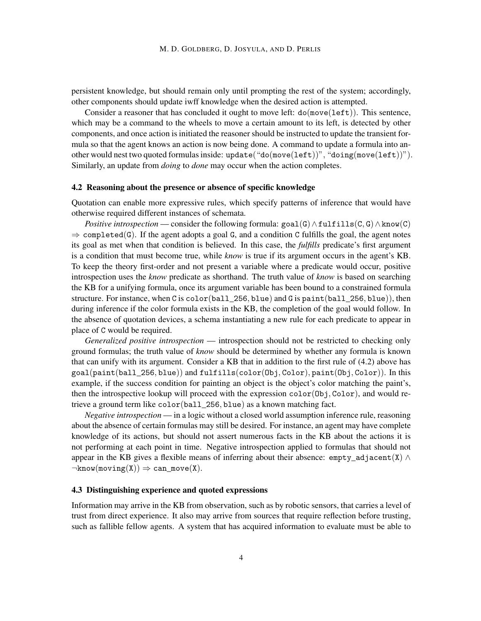persistent knowledge, but should remain only until prompting the rest of the system; accordingly, other components should update iwff knowledge when the desired action is attempted.

Consider a reasoner that has concluded it ought to move left:  $do(move(left))$ . This sentence, which may be a command to the wheels to move a certain amount to its left, is detected by other components, and once action is initiated the reasoner should be instructed to update the transient formula so that the agent knows an action is now being done. A command to update a formula into another would nest two quoted formulas inside: update("do(move(left))", "doing(move(left))"). Similarly, an update from *doing* to *done* may occur when the action completes.

#### 4.2 Reasoning about the presence or absence of specific knowledge

Quotation can enable more expressive rules, which specify patterns of inference that would have otherwise required different instances of schemata.

*Positive introspection* — consider the following formula:  $\text{goal}(G) \wedge \text{fullfill}(C, G) \wedge \text{know}(C)$  $\Rightarrow$  completed(G). If the agent adopts a goal G, and a condition C fulfills the goal, the agent notes its goal as met when that condition is believed. In this case, the *fulfills* predicate's first argument is a condition that must become true, while *know* is true if its argument occurs in the agent's KB. To keep the theory first-order and not present a variable where a predicate would occur, positive introspection uses the *know* predicate as shorthand. The truth value of *know* is based on searching the KB for a unifying formula, once its argument variable has been bound to a constrained formula structure. For instance, when C is color(ball  $256$ , blue) and G is paint(ball  $256$ , blue)), then during inference if the color formula exists in the KB, the completion of the goal would follow. In the absence of quotation devices, a schema instantiating a new rule for each predicate to appear in place of C would be required.

*Generalized positive introspection* — introspection should not be restricted to checking only ground formulas; the truth value of *know* should be determined by whether any formula is known that can unify with its argument. Consider a KB that in addition to the first rule of (4.2) above has goal(paint(ball\_256, blue)) and fulfills(color(Obj, Color), paint(Obj, Color)). In this example, if the success condition for painting an object is the object's color matching the paint's, then the introspective lookup will proceed with the expression  $color(Ob<sub>i</sub>, Color)$ , and would retrieve a ground term like color(ball\_256, blue) as a known matching fact.

*Negative introspection* — in a logic without a closed world assumption inference rule, reasoning about the absence of certain formulas may still be desired. For instance, an agent may have complete knowledge of its actions, but should not assert numerous facts in the KB about the actions it is not performing at each point in time. Negative introspection applied to formulas that should not appear in the KB gives a flexible means of inferring about their absence: empty adjacent(X)  $\wedge$  $\neg$ know(moving(X))  $\Rightarrow$  can\_move(X).

#### 4.3 Distinguishing experience and quoted expressions

Information may arrive in the KB from observation, such as by robotic sensors, that carries a level of trust from direct experience. It also may arrive from sources that require reflection before trusting, such as fallible fellow agents. A system that has acquired information to evaluate must be able to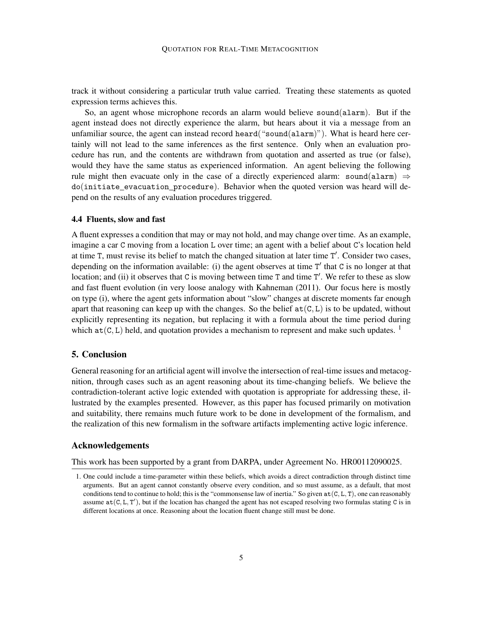track it without considering a particular truth value carried. Treating these statements as quoted expression terms achieves this.

So, an agent whose microphone records an alarm would believe sound(alarm). But if the agent instead does not directly experience the alarm, but hears about it via a message from an unfamiliar source, the agent can instead record heard("sound(alarm)"). What is heard here certainly will not lead to the same inferences as the first sentence. Only when an evaluation procedure has run, and the contents are withdrawn from quotation and asserted as true (or false), would they have the same status as experienced information. An agent believing the following rule might then evacuate only in the case of a directly experienced alarm: sound(alarm)  $\Rightarrow$ do(initiate\_evacuation\_procedure). Behavior when the quoted version was heard will depend on the results of any evaluation procedures triggered.

#### 4.4 Fluents, slow and fast

A fluent expresses a condition that may or may not hold, and may change over time. As an example, imagine a car C moving from a location L over time; an agent with a belief about C's location held at time T, must revise its belief to match the changed situation at later time T'. Consider two cases, depending on the information available: (i) the agent observes at time  $T'$  that  $C$  is no longer at that location; and (ii) it observes that C is moving between time T and time T'. We refer to these as slow and fast fluent evolution (in very loose analogy with Kahneman (2011). Our focus here is mostly on type (i), where the agent gets information about "slow" changes at discrete moments far enough apart that reasoning can keep up with the changes. So the belief  $at(C, L)$  is to be updated, without explicitly representing its negation, but replacing it with a formula about the time period during which  $at(C, L)$  held, and quotation provides a mechanism to represent and make such updates. <sup>1</sup>

## 5. Conclusion

General reasoning for an artificial agent will involve the intersection of real-time issues and metacognition, through cases such as an agent reasoning about its time-changing beliefs. We believe the contradiction-tolerant active logic extended with quotation is appropriate for addressing these, illustrated by the examples presented. However, as this paper has focused primarily on motivation and suitability, there remains much future work to be done in development of the formalism, and the realization of this new formalism in the software artifacts implementing active logic inference.

### Acknowledgements

This work has been supported by a grant from DARPA, under Agreement No. HR00112090025.

<sup>1.</sup> One could include a time-parameter within these beliefs, which avoids a direct contradiction through distinct time arguments. But an agent cannot constantly observe every condition, and so must assume, as a default, that most conditions tend to continue to hold; this is the "commonsense law of inertia." So given  $at(C, L, T)$ , one can reasonably assume  $at(C, L, T')$ , but if the location has changed the agent has not escaped resolving two formulas stating C is in different locations at once. Reasoning about the location fluent change still must be done.